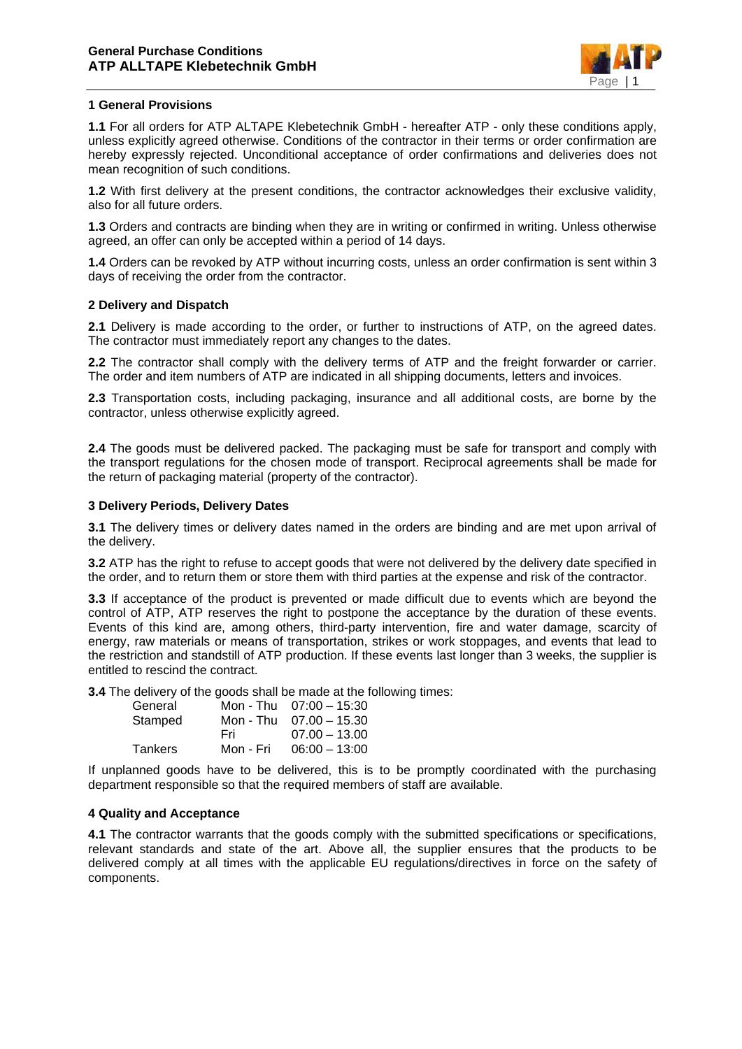

## **1 General Provisions**

**1.1** For all orders for ATP ALTAPE Klebetechnik GmbH - hereafter ATP - only these conditions apply, unless explicitly agreed otherwise. Conditions of the contractor in their terms or order confirmation are hereby expressly rejected. Unconditional acceptance of order confirmations and deliveries does not mean recognition of such conditions.

**1.2** With first delivery at the present conditions, the contractor acknowledges their exclusive validity, also for all future orders.

**1.3** Orders and contracts are binding when they are in writing or confirmed in writing. Unless otherwise agreed, an offer can only be accepted within a period of 14 days.

**1.4** Orders can be revoked by ATP without incurring costs, unless an order confirmation is sent within 3 days of receiving the order from the contractor.

## **2 Delivery and Dispatch**

**2.1** Delivery is made according to the order, or further to instructions of ATP, on the agreed dates. The contractor must immediately report any changes to the dates.

**2.2** The contractor shall comply with the delivery terms of ATP and the freight forwarder or carrier. The order and item numbers of ATP are indicated in all shipping documents, letters and invoices.

**2.3** Transportation costs, including packaging, insurance and all additional costs, are borne by the contractor, unless otherwise explicitly agreed.

**2.4** The goods must be delivered packed. The packaging must be safe for transport and comply with the transport regulations for the chosen mode of transport. Reciprocal agreements shall be made for the return of packaging material (property of the contractor).

## **3 Delivery Periods, Delivery Dates**

**3.1** The delivery times or delivery dates named in the orders are binding and are met upon arrival of the delivery.

**3.2** ATP has the right to refuse to accept goods that were not delivered by the delivery date specified in the order, and to return them or store them with third parties at the expense and risk of the contractor.

**3.3** If acceptance of the product is prevented or made difficult due to events which are beyond the control of ATP, ATP reserves the right to postpone the acceptance by the duration of these events. Events of this kind are, among others, third-party intervention, fire and water damage, scarcity of energy, raw materials or means of transportation, strikes or work stoppages, and events that lead to the restriction and standstill of ATP production. If these events last longer than 3 weeks, the supplier is entitled to rescind the contract.

**3.4** The delivery of the goods shall be made at the following times:

| General        |           | Mon - Thu $07:00 - 15:30$ |
|----------------|-----------|---------------------------|
| Stamped        |           | Mon - Thu $07.00 - 15.30$ |
|                | Fri.      | $07.00 - 13.00$           |
| <b>Tankers</b> | Mon - Fri | $06:00 - 13:00$           |

If unplanned goods have to be delivered, this is to be promptly coordinated with the purchasing department responsible so that the required members of staff are available.

#### **4 Quality and Acceptance**

**4.1** The contractor warrants that the goods comply with the submitted specifications or specifications, relevant standards and state of the art. Above all, the supplier ensures that the products to be delivered comply at all times with the applicable EU regulations/directives in force on the safety of components.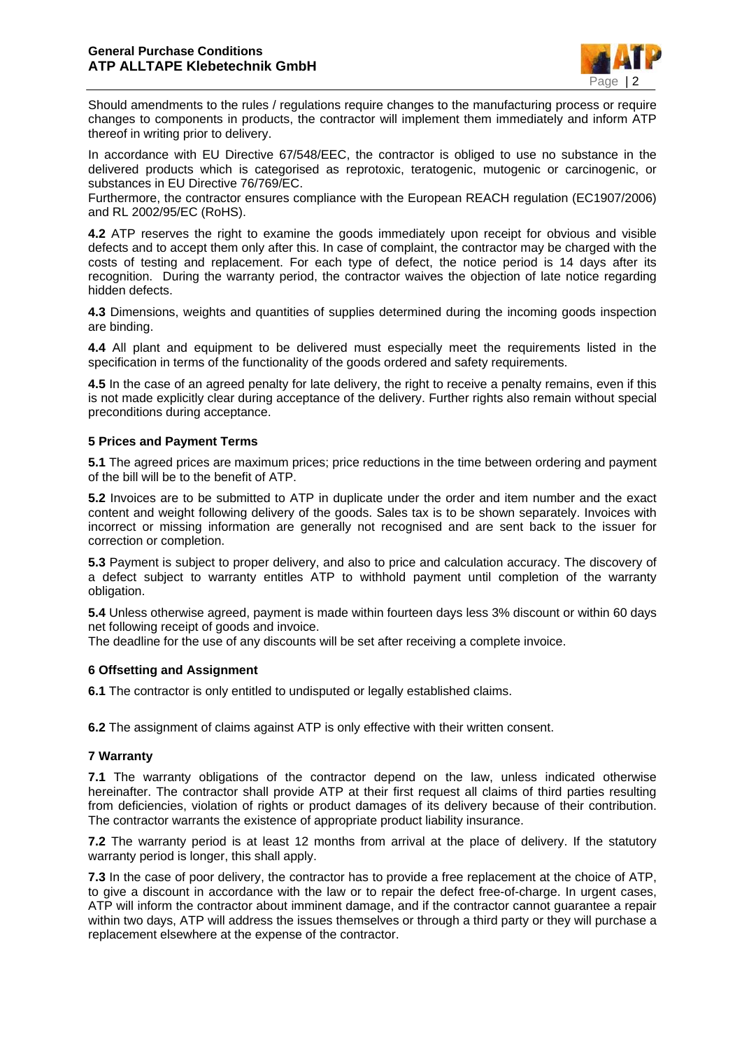

Should amendments to the rules / requiations require changes to the manufacturing process or require changes to components in products, the contractor will implement them immediately and inform ATP thereof in writing prior to delivery.

In accordance with EU Directive 67/548/EEC, the contractor is obliged to use no substance in the delivered products which is categorised as reprotoxic, teratogenic, mutogenic or carcinogenic, or substances in EU Directive 76/769/EC.

Furthermore, the contractor ensures compliance with the European REACH regulation (EC1907/2006) and RL 2002/95/EC (RoHS).

**4.2** ATP reserves the right to examine the goods immediately upon receipt for obvious and visible defects and to accept them only after this. In case of complaint, the contractor may be charged with the costs of testing and replacement. For each type of defect, the notice period is 14 days after its recognition. During the warranty period, the contractor waives the objection of late notice regarding hidden defects.

**4.3** Dimensions, weights and quantities of supplies determined during the incoming goods inspection are binding.

**4.4** All plant and equipment to be delivered must especially meet the requirements listed in the specification in terms of the functionality of the goods ordered and safety requirements.

**4.5** In the case of an agreed penalty for late delivery, the right to receive a penalty remains, even if this is not made explicitly clear during acceptance of the delivery. Further rights also remain without special preconditions during acceptance.

## **5 Prices and Payment Terms**

**5.1** The agreed prices are maximum prices; price reductions in the time between ordering and payment of the bill will be to the benefit of ATP.

**5.2** Invoices are to be submitted to ATP in duplicate under the order and item number and the exact content and weight following delivery of the goods. Sales tax is to be shown separately. Invoices with incorrect or missing information are generally not recognised and are sent back to the issuer for correction or completion.

**5.3** Payment is subject to proper delivery, and also to price and calculation accuracy. The discovery of a defect subject to warranty entitles ATP to withhold payment until completion of the warranty obligation.

**5.4** Unless otherwise agreed, payment is made within fourteen days less 3% discount or within 60 days net following receipt of goods and invoice.

The deadline for the use of any discounts will be set after receiving a complete invoice.

#### **6 Offsetting and Assignment**

**6.1** The contractor is only entitled to undisputed or legally established claims.

**6.2** The assignment of claims against ATP is only effective with their written consent.

#### **7 Warranty**

**7.1** The warranty obligations of the contractor depend on the law, unless indicated otherwise hereinafter. The contractor shall provide ATP at their first request all claims of third parties resulting from deficiencies, violation of rights or product damages of its delivery because of their contribution. The contractor warrants the existence of appropriate product liability insurance.

**7.2** The warranty period is at least 12 months from arrival at the place of delivery. If the statutory warranty period is longer, this shall apply.

**7.3** In the case of poor delivery, the contractor has to provide a free replacement at the choice of ATP, to give a discount in accordance with the law or to repair the defect free-of-charge. In urgent cases, ATP will inform the contractor about imminent damage, and if the contractor cannot guarantee a repair within two days, ATP will address the issues themselves or through a third party or they will purchase a replacement elsewhere at the expense of the contractor.